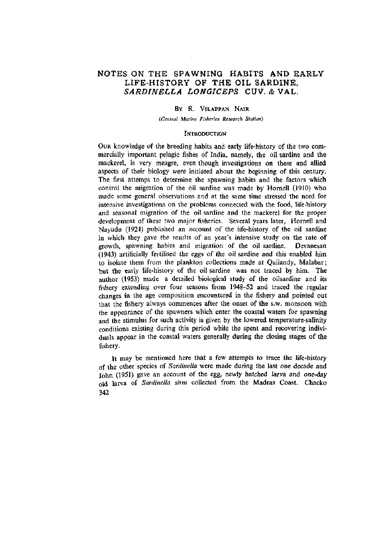# **NOTES ON THE SPAWNING HABITS AND EARLY LIFE-HISTORY OF THE OIL SARDINE.**  *SARDINELLA LONGICEPS* **CUV. & VAL.**

# BY R. VELAPPAN NAIR

*(Central Marine Fisheries Research Station)* 

# **INTRODUCTION**

OUR knowledge of the breeding habits and early life-history of the two commercially important pelagic fishes of India, namely, the oil sardine and the mackerel, is very meagre, even though investigations on these and allied aspects of their biology were initiated about the beginning of this century. The first attempt to determine the spawning habits and the factors which control the migration of the oil sardine was made by Hornell (1910) who made some general observations and at the same time stressed the need for intensive investigations on the problems connected with the food, life-history and seasonal migration of the oil sardine and the mackerel for the proper development of these two major fisheries. Several years later, Hornell and Nayudu (1924) published an account of the life-history of the oil sardine in which they gave the results of an year's intensive study on the rate of growth, spawning habits and migration of the oil sardine. Devanesan (1943) artificially fertilised the eggs of the oil sardine and this enabled him to isolate them from the plankton collections made at Quilandy, Malabar; but the early fife-history of the oil sardine was not traced by him. The author (1953) made a detailed biological study of the oilsardine and its fishery extending over four seasons from 1948-52 and traced the regular changes in the age composition encountered in the fishery and pointed out that the fishery always commences after the onset of the s.w, monsoon with the appearance of the spawners which enter the coastal waters for spawning and the stimulus for such activity is given by the lowered temperature-salinity conditions existing during this period while the spent and recovering individuals appear in the coastal waters generally during the closing stages of the fishery.

It may be mentioned here that a few attempts to trace the life-history of the other species of *Sardinella* were made during the last one decade and John (1951) gave an account of the egg, newly hatched larva and one-day old larva of *Sardinella sirm* collected from the Madras Coast. Chacko 342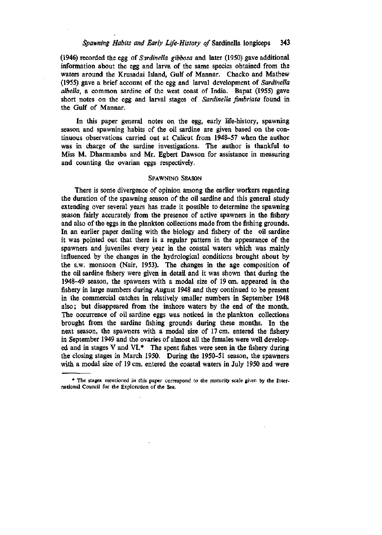(1946) recorded the egg of *Sardinella gibbosa* and later (1950) gave additional information about the egg and larva of the same species obtained from the waters around the Krusadai Island, Gulf of Mannar. Chacko and Mathew (1955) gave a brief account of the egg and larval development of *Sardinella albella,* a common sardine of the west coast of India. Bapat (1955) gave short notes on the egg and larval stages of *Sardinella fimbriata* found in the Gulf of Mannar.

In this paper general notes on the egg, early life-history, spawning season and spawning habits of the oil sardine are given based on the continuous observations carried out at Calicut from 1948-57 when the author was in charge of the sardine investigations. The author is thankful to Miss M. Dharmamba and Mr. Egbert Dawson for assistance in measuring and counting the ovarian eggs respectively.

#### SPAWNING SEASON

There is some divergence of opinion among the earlier workers regarding the duration of the spawning season of the oil sardine and this general study extending over several years has made it possible to determine the spawning season fairly accurately from the presence of active spawners in the fishery and also of the eggs in the plankton collections made from the fishing grounds. In an earlier paper dealing with the biology and fishery of the oil sardine it was pointed out that there is a regular pattern in the appearance of the spawners and juveniles every year in the coastal waters which was mainly influenced by the changes in the hydrological conditions brought about by the s.w. monsoon (Nair, 1953). The changes in the age composition of the oil sardine fishery were given in detail and it was shown that during the 1948-49 season, the spawners with a modal size of 19 cm. appeared in the fishery in large numbers during August 1948 and they continued to be present in the commercial catches in relatively smaller numbers in September 1948 also; but disappeared from the inshore waters by the end of the month. The occurrence of oil sardine eggs was noticed in the plankton collections brought from the sardine fishing grounds during these months. In the next season, the spawners with a modal size of 17 cm. entered the fishery in September 1949 and the ovaries of almost all the females were well developed and in stages V and VI.\* The spent fishes were seen in the fishery during the closing stages in March 1950. During the 1950-51 season, the spawners with a modal size of 19 cm. entered the coastal waters in July 1950 and were

<sup>\*</sup> The stages mentioned in this paper correspond to the maturity scale given by the International Council for the Exploration of the Sea.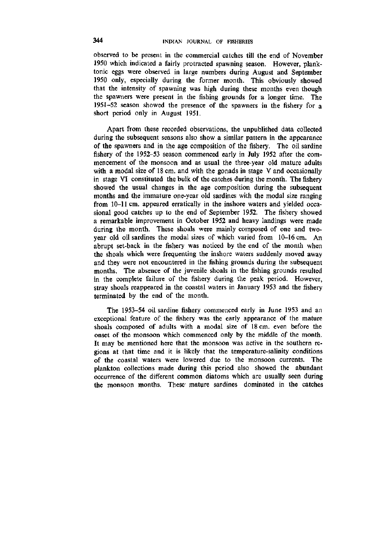observed to be present in the commercial catches till the end of November 1950 which indicated a fairly protracted spawning season. However, planktonic eggs were observed in large numbers during August and September 1950 only, especially during the former month. This obviously showed that the intensity of spawning was high during these months even though the spawners were present in the fishing grounds for a longer time. The 1951-52 season showed the presence of the spawners in the fishery for a short period only in August 1951.

Apart from these recorded observations, the unpublished data collected during the subsequent seasons also show a similar pattern in the appearance of the spawners and in the age composition of the fishery. The oil sardine fishery of the 1952-53 season commenced early in July 1952 after the commencement of the monsoon and as usual the three-year old mature adults with a modal size of 18 cm. and with the gonads in stage V and occasionally in stage VI constituted the bulk of the catches during the month. The fishery showed the usual changes in the age composition during the subsequent months and the immature one-year old sardines with the modal size ranging from 10-11 cm. appeared erratically in the inshore waters and yielded occasional good catches up to the end of September 1952. The fishery showed a remarkable improvement in October 1952 and heavy landings were made during the month. These shoals were mainly composed of one and twoyear old oil sardines the modal sizes of which varied from 10-16 cm. An abrupt set-back in the fishery was noticed by the end of the month when the shoals which were frequenting the inshore waters suddenly moved away and they were not encountered in the fishing grounds during the subsequent months. The absence of the juvenile shoals in the fishing grounds resulted in the complete failure of the fishery during the peak period. However, stray shoals reappeared in the coastal waters in January 1953 and the fishery terminated by the end of the month.

The 1953-54 oil sardine fishery commenced early in June 1953 and an exceptional feature of the fishery was the early appearance of the mature shoals composed of adults with a modal size of 18 cm. even before the onset of the monsoon which commenced only by the middle of the month. It may be mentioned here that the monsoon was active in the southern regions at that time and it is likely that the temperature-salinity conditions of the coastal waters were lowered due to the monsoon currents. The plankton collections made during this period also showed the abundant occurrence of the different common diatoms which are usually seen during the monsoon months, These mature sardines dominated in the catches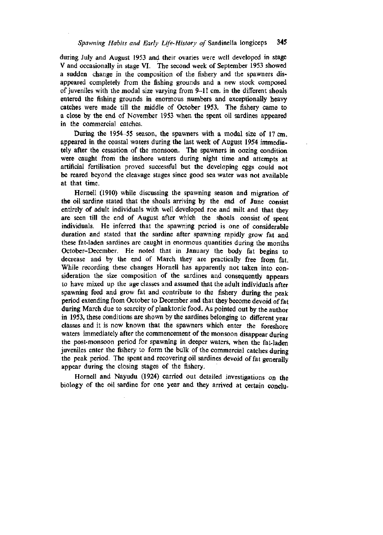during July and August 1953 and their ovaries were well developed in stage V and occasionally in stage VI. The second week of September 1953 showed a sudden change in the composition of the fishery and the spawners disappeared completely from the fishing grounds and a new stock composed of juveniles with the modal size varying from 9-11 cm. in the different shoals entered the fishing grounds in enormous numbers and exceptionally heavy catches were made till the middle of October 1953. The fishery came to a close by the end of November 1953 when the spent oil sardines appeared in the commercial catches.

During the 1954-55 season, the spawners with a modal size of 17 cm. appeared in the coastal waters during the last week of August 1954 immediately after the cessation of the monsoon. The spawners in oozing condition were caught from the inshore waters during night time and attempts at artificial fertilisation proved successful but the developing eggs could not be reared beyond the cleavage stages since good sea water was not available at that time.

Hornell (1910) while discussing the spawning season and migration of the oil sardine stated that the shoals arriving by the end of June consist entirely of adult individuals with well developed roe and milt and that they are seen till the end of August after which the shoals consist of spent individuals. He inferred that the spawning period is one of considerable duration and stated that the sardine after spawning rapidly grow fat and these fat-laden sardines are caught in enormous quantities during the months October-December. He noted that in January the body fat begins to decrease and by the end of March they are practically free from fat. While recording these changes Hornell has apparently not taken into consideration the size composition of the sardines and consequently appears to have mixed up the age classes and assumed that the adult individuals after spawning feed and grow fat and contribute to the fishery during the peak period extending from October to December and that they become devoid of fat during March due to scarcity of planktonic food. As pointed out by the author in 1953, these conditions are shown by the sardines belonging to different year classes and it is now known that the spawners which enter the foreshore waters immediately after the commencement of the monsoon disappear during the post-monsoon period for spawning in deeper waters, when the fat-laden juveniles enter the fishery to form the bulk of the commercial catches during the peak period. The spent and recovering oil sardines devoid of fat generally appear during the closing stages of the fishery.

Hornell and Nayudu (1924) carried out detailed investigations on the biology of the oil sardine for one year and they arrived at certain conclu-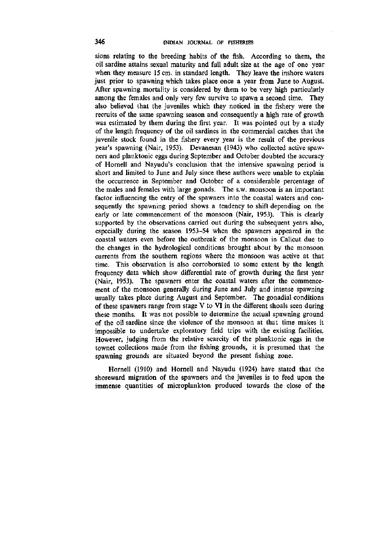sions relating to the breeding habits of the fish. According to them, the oil sardine attains sexual maturity and full adult size at the age of one year when they measure 15 cm. in standard length. They leave the inshore waters just prior to spawning which takes place once a year from June to August. After spawning mortality is considered by them to be very high particularly among the females and only very few survive to spawn a second time. They also believed that the juveniles which they noticed in the fishery were the recruits of the same spawning season and consequently a high rate of growth was estimated by them during the first year. It was pointed out by a study of the length frequency of the oil sardines in the commercial catches that the juvenile stock found in the fishery every year is the result of the previous year's spawning (Nair, 1953). Devanesan (1943) who collected active spawners and planktonic eggs during September and October doubted the accuracy of Hornell and Nayudu's conclusion that the intensive spawning period is short and limited to June and July since these authors were unable to explain the occurrence in September and October of a considerable percentage of the males and females with large gonads. The s.w. monsoon is an important factor influencing the entry of the spawners into the coastal waters and consequently the spawning period shows a tendency to shift depending on the early or late commencement of the monsoon (Nair, 1953). This is clearly supported by the observations carried out during the subsequent years also, especially during the season 1953-54 when the spawners appeared in the coastal waters even before the outbreak of the monsoon in Calicut due to the changes in the hydrological conditions brought about by the monsoon currents from the southern regions where the monsoon was active at that time. This observation is also corroborated to some extent by the length frequency data which show differential rate of growth during the first year (Nair, 1953). The spawners enter the coastal waters after the commencement of the monsoon generally during June and July and intense spawning usually takes place during August and September. The gonadial conditions of these spawners range from stage V to VI in the different shoals seen during these months. It was not possible to determine the actual spawning ground of the oil sardine since the violence of the monsoon at that time makes it impossible to undertake exploratory field trips with the existing facilities. However, judging from the relative scarcity of the planktonic eggs in the townet collections made from the fishing grounds, it is presumed that the spawning grounds are situated beyond the present fishing zone.

Hornell (1910) and Hornell and Nayudu (1924) have stated that the shoreward migration of the spawners and the juveniles is to feed upon the immense quantities of microplankton produced towards the close of the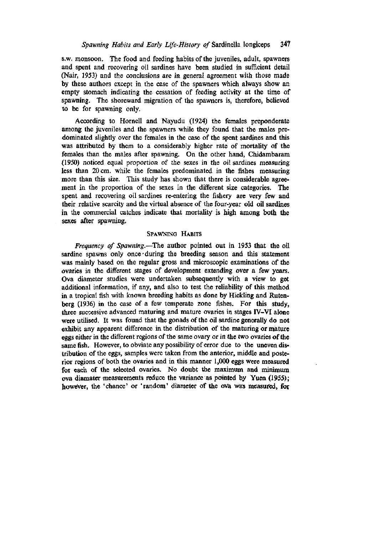s.w. monsoon. The food and feeding habits of the juveniles, adult, spawners and spent and recovering oil sardines have been studied in sufficient detail (Nair, 1953) and the conclusions are in general agreement with those made by these authors except in the case of the spawners which always show an empty stomach indicating the cessation of feeding activity at the time of spawning. The shoreward migration of the spawners is, therefore, believed to be for spawning only.

According to Hornell and Nayudu (1924) the females preponderate among the juveniles and the spawners while they found that the males predominated slightly over the females in the case of the spent sardines and this was attributed by them to a considerably higher rate of mortality of the females than the males after spawning. On the other hand, Chidambaram (1950) noticed equal proportion of the sexes in the oil sardines measuring less than 20 cm. while the females predominated in the fishes measuring more than this size. This study has shown that there is considerable agreement in the proportion of the sexes in the different size categories. The spent and recovering oil sardines re-entering the fishery are very few and their relative scarcity and the virtual absence of the four-year old oil sardines in the commercial catches indicate that mortality is high among both the sexes after spawning.

## SPAWNING HABITS

*Frequency of Spawning.*—The author pointed out in 1953 that the oil sardine spawns only once during the breeding season and this statement was mainly based on the regular gross and microscopic examinations of the ovaries in the different stages of development extending over a few years. Ova diameter studies were undertaken subsequently with a view to get additional information, if any, and also to test the reliability of this method in a tropical fish with known breeding habits as done by Hickling and Rutenberg (1936) in the case of a few temperate zone fishes. For this study, three successive advanced maturing and mature ovaries in stages IV-VI alone were utilised. It was found that the gonads of the oil sardine generally do not exhibit any apparent difference in the distribution of the maturing or mature eggs either in the different regions of the same ovary or in the two ovaries of the same fish. However, to obviate any possibility of error due to the uneven distribution of the eggs, samples were taken from the anterior, middle and posterior regions of both the ovaries and in this manner 1,000 eggs were measured for each of the selected ovaries. No doubt the maximum and minimum ova diamater measurements reduce the variance as pointed by Yuen (1955); however, the 'chance' or 'random' diameter of the ova was measured, for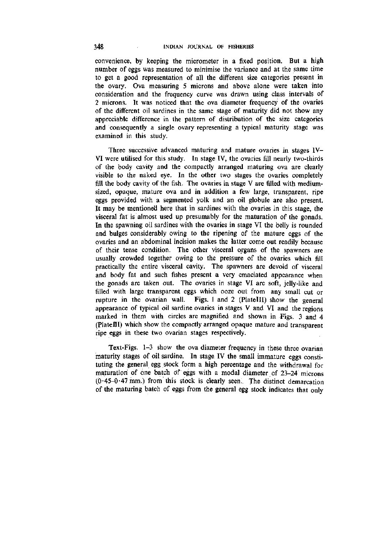convenience, by keeping the micrometer in a fixed position. But a high number of eggs was measured to minimise the variance and at the same time to get a good representation of all the different size categories present in the ovary. Ova measuring 5 microns and above alone were taken into consideration and the frequency curve was drawn using class intervals of 2 microns. It was noticed that the ova diameter frequency of the ovaries of the different oil sardines in the same stage of maturity did not show any appreciable difference in the pattern of distribution of the size categories and consequently a single ovary representing a typical maturity stage was examined in this study.

Three successive advanced maturing and mature ovaries in stages IV-VI were utilised for this study. In stage IV, the ovaries fill nearly two-thirds of the body cavity and the compactly arranged maturing ova are clearly visible to the naked eye. In the other two stages the ovaries completely fill the body cavity of the fish. The ovaries in stage V are filled with mediumsized, opaque, mature ova and in addition a few large, transparent, ripe eggs provided with a segmented yolk and an oil globule are also present. It may be mentioned here that in sardines with the ovaries in this stage, the visceral fat is almost used up presumably for the maturation of the gonads. In the spawning oil sardines with the ovaries in stage VI the belly is rounded and bulges considerably owing to the ripening of the mature eggs of the ovaries and an abdominal incision makes the latter come out readily because of their tense condition. The other visceral organs of the spawners are usually crowded together owing to the pressure of the ovaries which fill practically the entire visceral cavity. The spawners are devoid of visceral and body fat and such fishes present a very emaciated appearance when the gonads are taken out. The ovaries in stage VI are soft, jelly-like and filled with large transparent eggs which ooze out from any small cut or rupture in the ovarian wall. Figs. 1 and 2 (Platelll) show the general appearance of typical oil sardine ovaries in stages V and VI and the regions marked in them with circles are magnified and shown in Figs. 3 and 4 (Plate III) which show the compactly arranged opaque mature and transparent ripe eggs in these two ovarian stages respectively.

Text-Figs. 1-3 show the ova diameter frequency in these three ovarian maturity stages of oil sardine. In stage IV the small immature eggs constituting the general egg stock form a high percentage and the withdrawal for maturation of one batch of eggs with a modal diameter of 23-24 microns  $(0.45-0.47 \text{ mm.})$  from this stock is clearly seen. The distinct demarcation of the maturing batch of eggs from the general egg stock indicates that only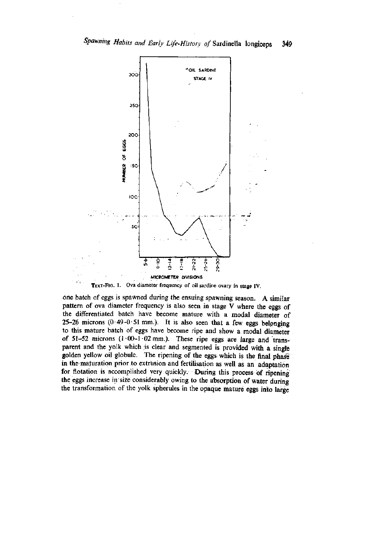

one batch of eggs is spawned during the ensuing spawning season. A similar pattern of ova diameter frequency is also seen in stage V where the eggs of the differentiated batch have become mature with a modal diameter of 25-26 microns  $(0.49-0.51$  mm.). It is also seen that a few eggs belonging to this mature batch of eggs have become ripe and show a modal diameter of 51-52 microns  $(1.00-1.02$  mm.). These ripe eggs are large and transparent and the yolk which is clear and segmented is provided with a single golden yellow oil globule. The ripening of the eggs; which is the final phase in the maturation prior to extrusion and fertilisation as well as an adaptation for flotation is accomplished very quickly. During this process of ripening the eggs increase in size considerably owing to the absorption of water during the transformation of the yolk spherules in the opaque mature eggs into large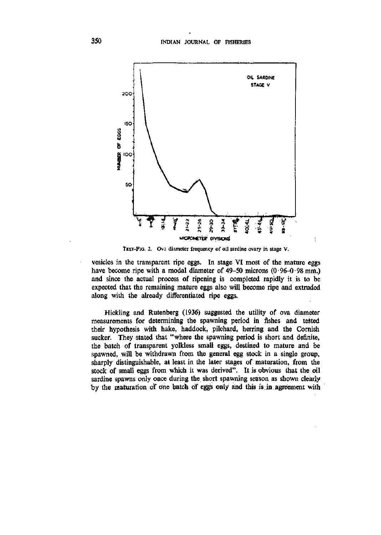

TEXT-FIG. 2. Ova diameter frequency of oil sardine ovary in stage V.

vesicles in the transparent ripe eggs. In stage VI most of the mature eggs have become ripe with a modal diameter of  $49-50$  microns  $(0.96-0.98$  mm.) and since the actual process of ripening is completed rapidly it is to be expected that the remaining mature eggs also will become ripe and extruded along with the already differentiated ripe eggs.

Hickling and Rutenberg (1936) suggested the utility of ova diameter measurements for determining the spawning period in fishes and tested their hypothesis with hake, haddock, pilchard, herring and the Cornish sucker. They stated that "where the spawning period is short and definite, the batch of transparent yolkless small eggs, destined to mature and be spawned, will be Withdrawn from the general egg stock in a single group, sharply distinguishable, at least in the later stages of maturation, from the stock of small eggs from which it was derived". It is obvious that the oil sardine spawns only once during the short spawning season as shown clearly by the maturation of one batch of eggs only and this is in agreement with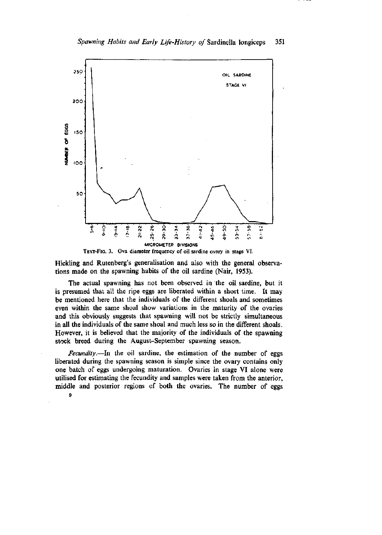

TEXT-FIG. 3. Ova diameter frequency of oil sardine ovary in stage VI.

Hickling and Rutenberg's generalisation and also with the general observations made on the spawning habits of the oil sardine (Nair, 1953).

The actual spawning has not been observed in the oil sardine, but it is presumed that all the ripe eggs are liberated within a short time. It may be mentioned here that the individuals of the different shoals and sometimes even within the same shoal show variations in the maturity of the ovaries and this obviously suggests that spawning will not be strictly simultaneous in all the individuals of the same shoal and much less so in the diflferent shoals. However, it is believed that the majority of the individuals of the spawning stock breed during the August-September spawning season.

*Fecundity.*—In the oil sardine, the estimation of the number of eggs liberated during the spawning season is simple since the ovary contains only one batch of eggs undergoing maturation. Ovaries in stage VI alone were utilised for estimating the fecundity and samples were taken from the anterior, middle and posterior regions of both the ovaries. The number of eggs

9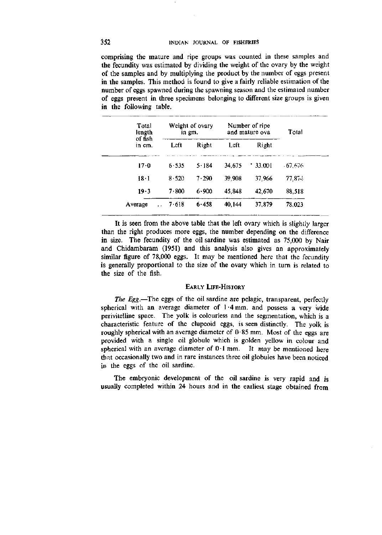# 352 INDIAN JOURNAL OF FISHERIES

comprising the mature and ripe groups was counted in these samples and the fecundity was estimated by dividing the weight of the ovary by the weight of the samples and by multiplying the product by the number of eggs present in the samples. This method is found to give a fairly reliable estimation of the number of eggs spawned during the spawning season and the estimated number of eggs present in three specimens belonging to different size groups is given in the following table.

| Total<br>length<br>of fish<br>in cm. | Weight of ovary<br>in gm. |           | Number of ripe<br>and mature ova |        | Total    |
|--------------------------------------|---------------------------|-----------|----------------------------------|--------|----------|
|                                      | Left                      | Right     | Left                             | Right  |          |
| 17.0                                 | 6.535                     | $5 - 184$ | 34.675                           | 33,001 | - 67.676 |
| 18.1                                 | 8.520                     | 7.290     | 39,908                           | 37,966 | 77.874   |
| $19-3$                               | 7.800                     | $6 - 900$ | 45,848                           | 42,670 | 88,518   |
| Average                              | 7.618                     | 6.458     | 40,144                           | 37,879 | 78.023   |

It is seen from the above table that the left ovary which is slightly larger than the right produces more eggs, the number depending on the difference in size. The fecundity of the oil sardine was estimated as 75,000 by Nair and Chidambaram (1951) and this analysis also gives an approximately similar figure of 78,000 eggs. It may be mentioned here that the fecundity is generally proportional to the size of the ovary which in turn is related to the size of the fish.

#### EARLY LIFE-HISTORY

*The Egg.*—The eggs of the oil sardine are pelagic, transparent, perfectly spherical with an average diameter of 1-4 mm. and possess a very wide perivitelline space. The yolk is colourless and the segmentation, which is a characteristic feature of the clupeoid eggs, is seen distinctly. The yolk is roughly spherical with an average diameter of  $0.85$  mm. Most of the eggs are provided with a single oil globule which is golden yellow in colour and spherical with an average diameter of  $0.1$  mm. It may be mentioned here that occasionally two and in rare instances three oil globules have been noticed in the eggs of the oil sardine.

The embryonic development of the oil sardine is very rapid and is usually completed within 24 hours and in the earhest stage obtained from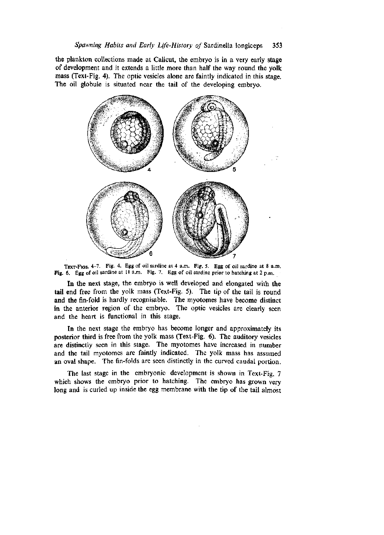the plankton collections made at Calicut, the embryo is in a very early stage of development and it extends a little more than half the way round the yolk mass (Text-Fig. 4). The optic vesicles alone are faintly indicated in this stage. The oil globule is situated near the tail of the developing embryo.



TEXT-FIGS. 4-7. Fig. 4. Egg of oil sardine at 4 a.m. Fig. 5. Egg of oil sardine at 8 a.m. Fig. 6. Egg of oil sardine at 11 a.m. Fig. 7. Egg of oil sardine prior to hatching at 2 p.m.

In the next stage, the embryo is well developed and elongated with the tail end free from the yolk mass (Text-Fig. 5). The tip of the tail is round and the fin-fold is hardly recognisable. The myotomes have become distinct in the anterior region of the embryo. The optic vesicles are clearly seen and the heart is functional in this stage.

In the next stage the embryo has become longer and approximately its posterior third is free from the yolk mass (Text-Fig. 6). The auditory vesicles are distinctly seen in this stage. The myotomes have increased in number and the tail myotomes are faintly indicated. The yolk mass has assumed an oval shape. The fin-folds are seen distinctly in the curved caudal portion.

The last stage in the embryonic development is shown in Text-Fig. 7 which shows the embryo prior to hatching. The embryo has grown very long and is curled up inside the egg membrane with the tip of the tail almost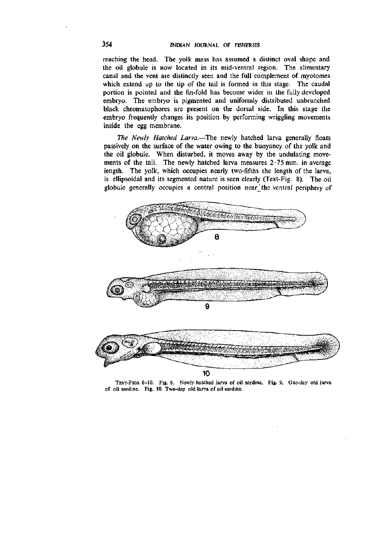reaching the head. The yolk mass has assumed a distinct oval shape and the oil globule is now located in its mid-ventral region. The alimentary canal and the vent are distinctly seen and the full complement of myotomes which extend up to the tip of the tail is formed in this stage. The caudal portion is pointed and the fin-fold has become wider in the fully developed embryo. The embryo is pigmented and uniformly distributed unbranched black chromatophores are present on the dorsal side. In this stage the embryo frequently changes its position by performing wriggling movements inside the egg membrane.

*The Newly Hatched Larva.*—The newly hatched larva generally floats passively on the surface of the water owing to the buoyancy of the yolk and the oil globule. When disturbed, it moves away by the undulating movements of the tail. The newly hatched larva measures  $2.75$  mm, in average length. The yolk, which occupies nearly two-fifths the length of the larva, is ellipsoidal and its segmented nature is seen clearly (Text-Fig. 8). The oil globule generally occupies a central position near the ventral periphery of



TEXT-FIGS. 8-10. Fig. 8. Newly hatched larva of oil sardine. Fig. 9. One-day old larva of oil sardine. Fig. 10. Two-day old larva of oil sardine.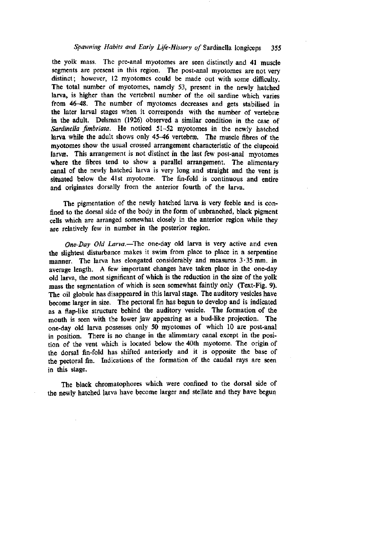## *Spawning Habits and Early Life-History of* Sardinella longiceps 355

the yolk mass. The pre-anal myotomes are seen distinctly and 41 muscle segments are present in this region. The post-anal myotomes are not very distinct; however, 12 myotomes could be made out with some difficulty. The total number of myotomes, namely 53, present in the newly hatched larva, is higher than the vertebral number of the oil sardine which varies from 46-48. The number of myotomes decreases and gets stabilised in the later larval stages when it corresponds with the number of vertebrae in the adult. Delsman (1926) observed a similar condition in the case of *Sardinella fimbriata.* He noticed 51-52 myotomes in the newly hatched larva while the adult shows only 45-46 vertebrae. The muscle fibres of the myotomes show the usual crossed arrangement characteristic of the clupeoid larvæ. This arrangement is not distinct in the last few post-anal myotomes where the fibres tend to show a parallel arrangement. The alimentary canal of the newly hatched larva is very long and straight and the vent is situated below the 41st myotome. The fin-fold is continuous and entire and originates dorsally from the anterior fourth of the larva.

The pigmentation of the newly hatched larva is very feeble and is confined to the dorsal side of the body in the form of unbranched, black pigment cells which are arranged somewhat closely in the anterior region while they are relatively few in number in the posterior region.

*One Day Old Larva.*—^The one-day old larva is very active and even the slightest disturbance makes it swim from place to place in a serpentine manner. The larva has elongated considerably and measures 3-35 mm. in average length. A few important changes have taken place in the one-day old larva, the most significant of which is the reduction in the size of the yolk mass the segmentation of which is seen somewhat faintly only (Text-Fig. 9). The oil globule has disappeared in this larval stage. The auditory vesicles have become larger in size. The pectoral fin has begun to develop and is indicated as a flap-like structure behind the auditory vesicle. The formation of the mouth is seen with the lower jaw appearing as a bud-like projection. The one-day old larva possesses only 50 myotomes of which 10 are post-anal in position. There is no change in the alimentary canal except in the position of the vent which is located below the 40th myotome. The origin of the dorsal fin-fold has shifted anteriorly and it is opposite the base of the pectoral fin. Indications of the formation of the caudal rays are seen in this stage.

The black chromatophores which were confined to the dorsal side of the newly hatched larva have become larger and stellate and they have begun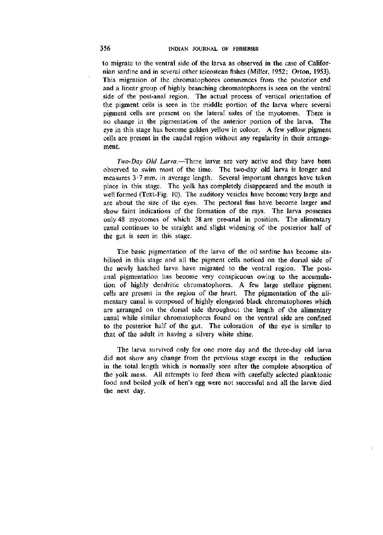to migrate to the ventral side of the larva as observed in the case of Californian sardine and in several other teleostean fishes (Miller, 1952; Orton, 1953). This migration of the chromatophores commences from the posterior end and a linear group of highly branching chromatophores is seen on the ventral side of the post-anal region. The actual process of vertical orientation of the pigment cells is seen in the middle portion of the larva where several pigment cells are present on the lateral sides of the myotomes. There is no change in the pigmentation of the anterior portion of the larva. The eye in this stage has become golden yellow in colour. A few yellow pigment cells are present in the caudal region without any regularity in their arrangement.

*Two-Day Old Larva.*—These larvæ are very active and they have been observed to swim most of the time. The two-day old larva is longer and measures 3-7 mm. in average length. Several important changes have taken place in this stage. The yolk has completely disappeared and the mouth is well formed (Text-Fig. 10). The auditory vesicles have become very large and are about the size of the eyes. The pectoral fins have become larger and show faint indications of the formation of the rays. The larva possesses only 48 myotomes of which 38 are pre-anal in position. The alimentary canal continues to be straight and slight widening of the posterior half of the gut is seen in this stage.

The basic pigmentation of the larva of the oil sardine has become stabilised in this stage and all the pigment cells noticed on the dorsal side of the newly hatched larva have migrated to the ventral region. The postanal pigmentation has become very conspicuous owing to the accumulation of highly dendritic chromatophores. A few large stellate pigment cells are present in the region of the heart. The pigmentation of the alimentary canal is composed of highly elongated black chromatophores which are arranged on the dorsal side throughout the length of the alimentary canal while similar chromatophores found on the ventral side are confined to the posterior half of the gut. The coloration of the eye is similar to that of the adult in having a silvery white shine.

The larva survived only for one more day and the three-day old larva did not show any change from the previous stage except in the reduction in the total length which is normally seen after the complete absorption of the yolk mass. All attempts to feed them with carefully selected planktonic food and boiled yolk of hen's egg were not successful and all the larvæ died the next day.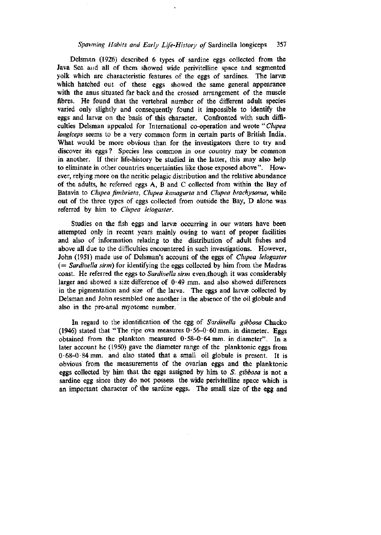# *Spawning Habits and Early Life-History of* Sardinella longiceps 357

Delsman (1926) described 6 types of sardine eggs collected from the Java Sea and all of them showed wide perivitelline space and segmented yolk which are characteristic features of the eggs of sardines. The larvæ which hatched out of these eggs showed the same general appearance with the anus situated far back and the crossed arrangement of the muscle fibres. He found that the vertebral number of the different adult species varied only slightly and consequently found it impossible to identify the eggs and larvæ on the basis of this character. Confronted with such difficulties Delsman appealed for International co-operation and wrote " *Clupea longiceps* seems to be a very common form in certain parts of British India. What would be more obvious than for the investigators there to try and discover its eggs? Species less common in one country may be common in another. If their life-history be studied in the latter, this may also help to eliminate in other countries uncertainties hke those exposed above". However, relying more on the neritic pelagic distribution and the relative abundance of the adults, he referred eggs A, B and C collected from within the Bay of Batavia to *Clupea fimbriata, Clupea kanagurta* and *Clupea brachysoma,* while out of the three types of eggs collected from outside the Bay, D alone was referred by him to *Clupea leiogaster.* 

Studies on the fish eggs and larvae occurring in our waters have been attempted only in recent years mainly owing to want of proper facilities and also of information relating to the distribution of adult fishes and above all due to the difficulties encountered in such investigations. However, John (1951) made use of Delsman's account of the eggs of *Clupea leiogaster*  (= *Sardinella sirm)* for identifying the eggs collected by him from the Madras coast. He referred the eggs to *Sardinella sirm* even .though it was considerably larger and showed a size difference of  $0.49$  mm. and also showed differences in the pigmentation and size of the larva. The eggs and larvae collected by Delsman and John resembled one another in the absence of the oil globule and also in the pre-anal myotome number.

In regard to the identification of the egg of *Sardinella gibbosa* Chacko (1946) stated that "The ripe ova measures  $0.56-0.60$  mm. in diameter. Eggs obtained from the plankton measured  $0.58-0.64$  mm. in diameter". In a later account he (1950) gave the diameter range of the planktonic eggs from 0-68-0-84 mm. and also stated that a small oil globule is present. It is obvious from the measurements of the ovarian eggs and the planktonic eggs collected by him that the eggs assigned by him to *S. gibbosa* is not a sardine egg since they do not possess the wide perivitelline space which is an important character of the sardine eggs. The small size of the egg and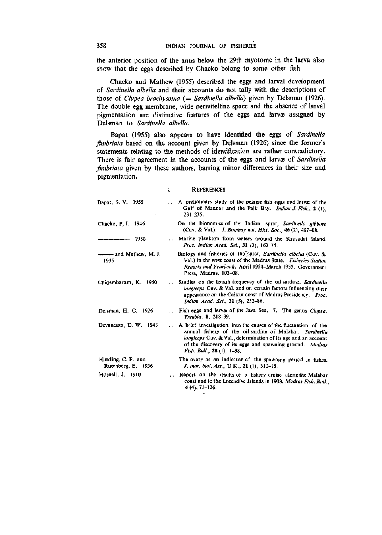the anterior position of the anus below the 29th myotome in the larva also show that the eggs described by Chacko belong to some other fish.

Chacko and Mathew (1955) described the eggs and larval development of *Sardinella albella* and their accounts do not tally with the descriptions of those of *Clupea brachysoma* (= *Sardinella albella*) given by Delsman (1926). The double egg membrane, wide perivitelline space and the absence of larval pigmentation are distinctive features of the eggs and larvæ assigned by Delsman to *Sardinella albella.* 

Bapat (1955) also appears to have identified the eggs of *Sardinella fimbriata* based on the account given by Delsman (1926) since the former's statements relating to the methods of identification are rather contradictory. There is fair agreement in the accounts of the eggs and larvæ of *Sardinella fimbriata* given by these authors, barring minor differences in their size and pigmentation.

#### **REFERENCES**

¥.

| Bapat, S. V. 1955                         |       | A preliminary study of the pelagic fish eggs and larvee of the<br>Gulf of Mannar and the Palk Bay. Indian J. Fish., 2 (1),<br>$231 - 235.$                                                                                                                                                     |
|-------------------------------------------|-------|------------------------------------------------------------------------------------------------------------------------------------------------------------------------------------------------------------------------------------------------------------------------------------------------|
| Chacko, P. I. 1946                        |       | On the bionomics of the Indian sprat, Sardinella gibbosa<br>(Cuv. & Val.). J. Bombay nat. Hist. Soc., 46 (2), 407-08.                                                                                                                                                                          |
| 1950                                      |       | Marine plankton from waters around the Krusadai Island,<br>Proc. Indian Acad. Sci., 31 (3), 162-74.                                                                                                                                                                                            |
| 1955                                      |       | Biology and fisheries of the sprat, Sardinella albella (Cuv. &<br>Val.) in the west coast of the Madras State. Fisheries Station<br>Reports and Yearbook. April 1954–March 1955. Government<br>Press, Madras, 103-08.                                                                          |
| Chidambaram, K. 1950                      |       | Studies on the length frequency of the oil sardine, Sardinella<br>longiceps Cuv. & Val. and on certain factors influencing their<br>appearance on the Calicut coast of Madras Presidency. Proc.<br>Indian Acad. Sci., 31 (5), 252-86.                                                          |
| Delsman, H. C. 1926                       |       | Fish eggs and larvæ of the Java Sea. 7. The genus Clupea.<br>Treubia, 8, 218-39.                                                                                                                                                                                                               |
| Devanesan, D. W. 1943                     | i vil | A brief investigation into the causes of the fluctuation of the<br>annual fishery of the oil-sardine of Malabar, Sardinella<br><i>longiccps</i> Cuv. & Val., determination of its age and an account<br>of the discovery of its eggs and spawning ground. Madras<br>Fish. Bull., 28 (1), 1-38. |
| Hickling, C. F. and<br>Rutenberg, E. 1936 |       | The ovary as an indicator of the spawning period in fishes.<br>J. mar. biol. Ass., U K., 21 (1), 311-18.                                                                                                                                                                                       |
| Hornell, J. 1910                          |       | Report on the results of a fishery cruise along the Malabar<br>coast and to the Laccadive Islands in 1908. Madras Fish, Bull.,<br>$4(4)$ , 71–126.                                                                                                                                             |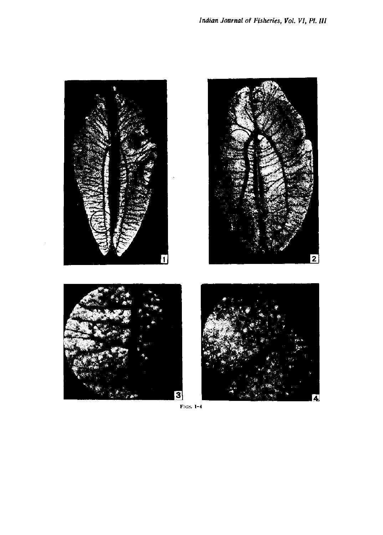

FIGS.  $1-4$